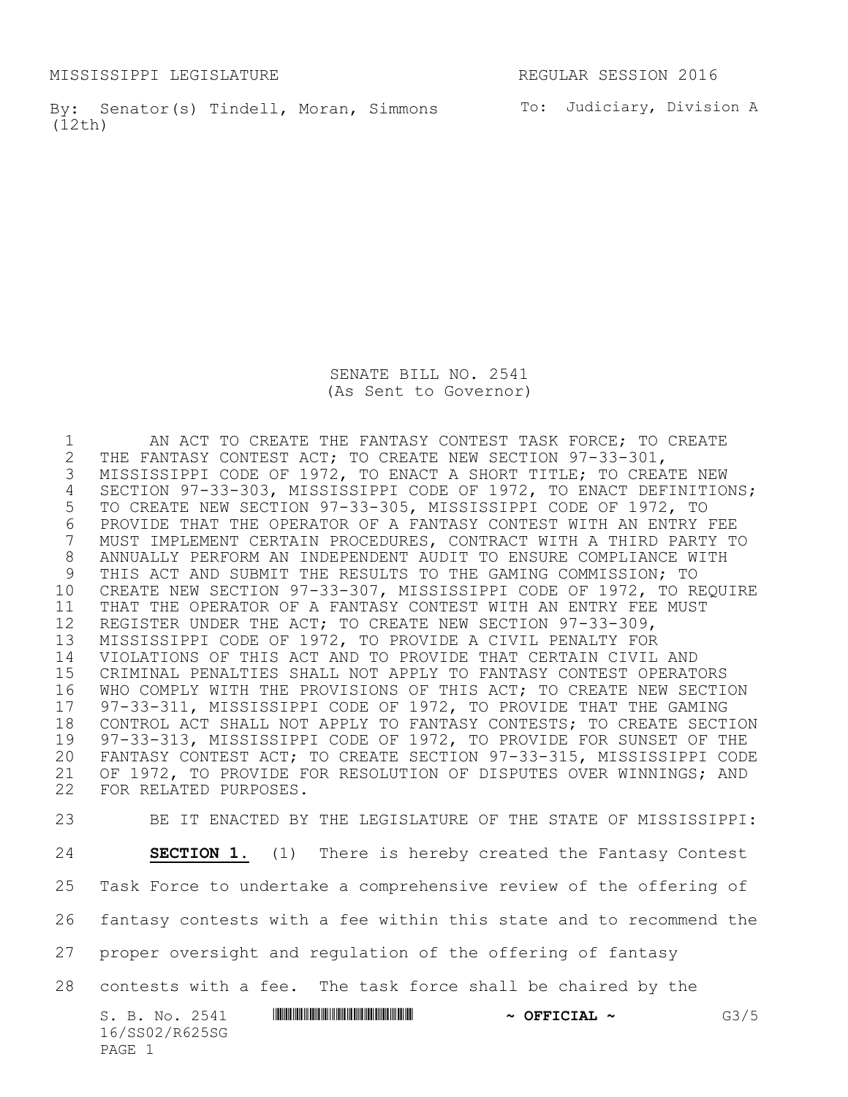MISSISSIPPI LEGISLATURE REGULAR SESSION 2016

By: Senator(s) Tindell, Moran, Simmons To: Judiciary, Division A (12th)

SENATE BILL NO. 2541 (As Sent to Governor)

1 AN ACT TO CREATE THE FANTASY CONTEST TASK FORCE; TO CREATE<br>2 THE FANTASY CONTEST ACT; TO CREATE NEW SECTION 97-33-301, 2 THE FANTASY CONTEST ACT; TO CREATE NEW SECTION 97-33-301,<br>3 MISSISSIPPI CODE OF 1972, TO ENACT A SHORT TITLE; TO CREA' MISSISSIPPI CODE OF 1972, TO ENACT A SHORT TITLE; TO CREATE NEW SECTION 97-33-303, MISSISSIPPI CODE OF 1972, TO ENACT DEFINITIONS; TO CREATE NEW SECTION 97-33-305, MISSISSIPPI CODE OF 1972, TO 6 PROVIDE THAT THE OPERATOR OF A FANTASY CONTEST WITH AN ENTRY FEE<br>7 MUST IMPLEMENT CERTAIN PROCEDURES, CONTRACT WITH A THIRD PARTY T MUST IMPLEMENT CERTAIN PROCEDURES, CONTRACT WITH A THIRD PARTY TO ANNUALLY PERFORM AN INDEPENDENT AUDIT TO ENSURE COMPLIANCE WITH 9 THIS ACT AND SUBMIT THE RESULTS TO THE GAMING COMMISSION; TO CREATE NEW SECTION 97-33-307, MISSISSIPPI CODE OF 1972, TO REQUIRE THAT THE OPERATOR OF A FANTASY CONTEST WITH AN ENTRY FEE MUST REGISTER UNDER THE ACT; TO CREATE NEW SECTION 97-33-309, MISSISSIPPI CODE OF 1972, TO PROVIDE A CIVIL PENALTY FOR VIOLATIONS OF THIS ACT AND TO PROVIDE THAT CERTAIN CIVIL AND CRIMINAL PENALTIES SHALL NOT APPLY TO FANTASY CONTEST OPERATORS WHO COMPLY WITH THE PROVISIONS OF THIS ACT; TO CREATE NEW SECTION 17 97-33-311, MISSISSIPPI CODE OF 1972, TO PROVIDE THAT THE GAMING<br>18 CONTROL ACT SHALL NOT APPLY TO FANTASY CONTESTS; TO CREATE SECT CONTROL ACT SHALL NOT APPLY TO FANTASY CONTESTS; TO CREATE SECTION 97-33-313, MISSISSIPPI CODE OF 1972, TO PROVIDE FOR SUNSET OF THE FANTASY CONTEST ACT; TO CREATE SECTION 97-33-315, MISSISSIPPI CODE OF 1972, TO PROVIDE FOR RESOLUTION OF DISPUTES OVER WINNINGS; AND FOR RELATED PURPOSES. BE IT ENACTED BY THE LEGISLATURE OF THE STATE OF MISSISSIPPI:

 **SECTION 1.** (1) There is hereby created the Fantasy Contest Task Force to undertake a comprehensive review of the offering of

fantasy contests with a fee within this state and to recommend the

proper oversight and regulation of the offering of fantasy

contests with a fee. The task force shall be chaired by the

S. B. No. 2541 **\*\*\* AND \*\*\* THE \*\*\* THE \*\*\* THE \*\*\* THE \*\*\* THE \*\*\* THE \*\*\* THE \*\*\* THE \*\*\* THE \*\*\* G3/5** 16/SS02/R625SG PAGE 1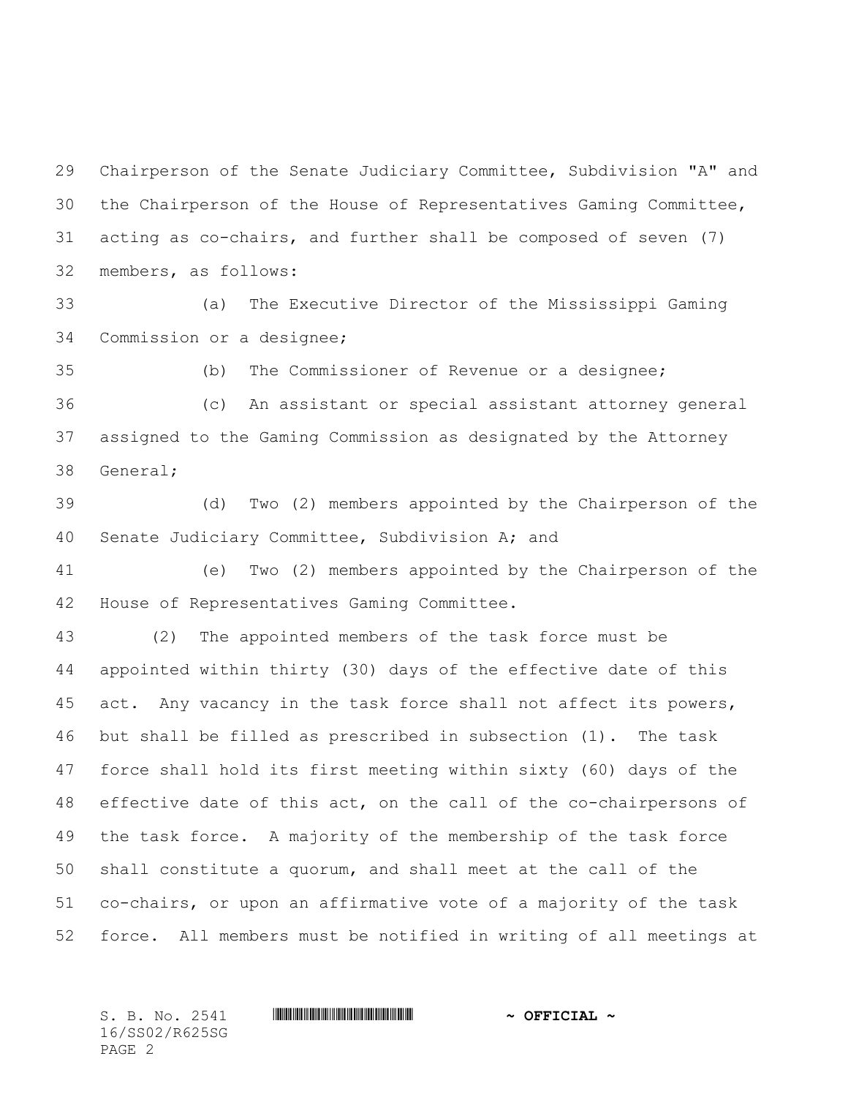Chairperson of the Senate Judiciary Committee, Subdivision "A" and the Chairperson of the House of Representatives Gaming Committee, acting as co-chairs, and further shall be composed of seven (7) members, as follows:

 (a) The Executive Director of the Mississippi Gaming Commission or a designee;

(b) The Commissioner of Revenue or a designee;

 (c) An assistant or special assistant attorney general assigned to the Gaming Commission as designated by the Attorney General;

 (d) Two (2) members appointed by the Chairperson of the Senate Judiciary Committee, Subdivision A; and

 (e) Two (2) members appointed by the Chairperson of the House of Representatives Gaming Committee.

 (2) The appointed members of the task force must be appointed within thirty (30) days of the effective date of this act. Any vacancy in the task force shall not affect its powers, but shall be filled as prescribed in subsection (1). The task force shall hold its first meeting within sixty (60) days of the effective date of this act, on the call of the co-chairpersons of the task force**.** A majority of the membership of the task force shall constitute a quorum, and shall meet at the call of the co-chairs, or upon an affirmative vote of a majority of the task force. All members must be notified in writing of all meetings at

16/SS02/R625SG PAGE 2

## $S. B. No. 2541$  **. Social 2541 · SECOLAL 4**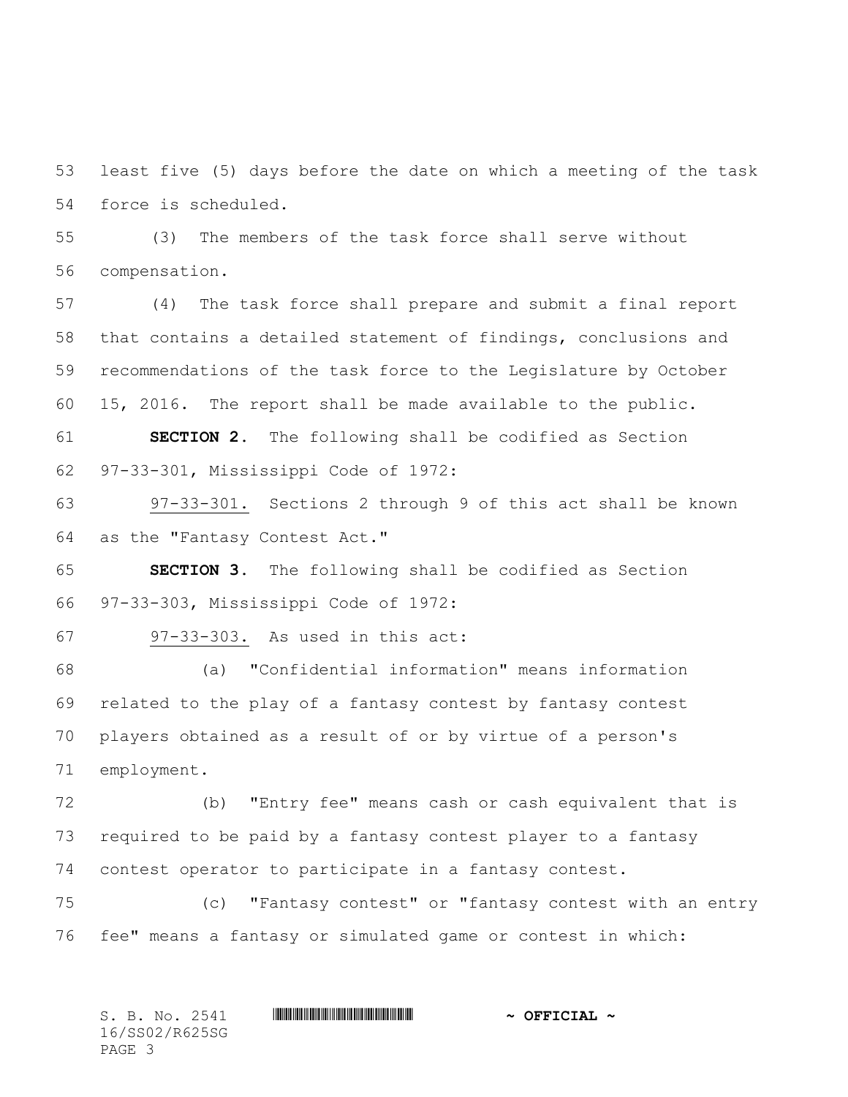least five (5) days before the date on which a meeting of the task force is scheduled.

 (3) The members of the task force shall serve without compensation.

 (4) The task force shall prepare and submit a final report that contains a detailed statement of findings, conclusions and recommendations of the task force to the Legislature by October 15, 2016. The report shall be made available to the public.

 **SECTION 2.** The following shall be codified as Section 97-33-301, Mississippi Code of 1972:

 97-33-301. Sections 2 through 9 of this act shall be known as the "Fantasy Contest Act."

 **SECTION 3.** The following shall be codified as Section 97-33-303, Mississippi Code of 1972:

97-33-303. As used in this act:

 (a) "Confidential information" means information related to the play of a fantasy contest by fantasy contest players obtained as a result of or by virtue of a person's employment.

 (b) "Entry fee" means cash or cash equivalent that is required to be paid by a fantasy contest player to a fantasy contest operator to participate in a fantasy contest.

 (c) "Fantasy contest" or "fantasy contest with an entry fee" means a fantasy or simulated game or contest in which:

 $S. B. No. 2541$  **. Social 2541 · SECOLAL 4** 16/SS02/R625SG PAGE 3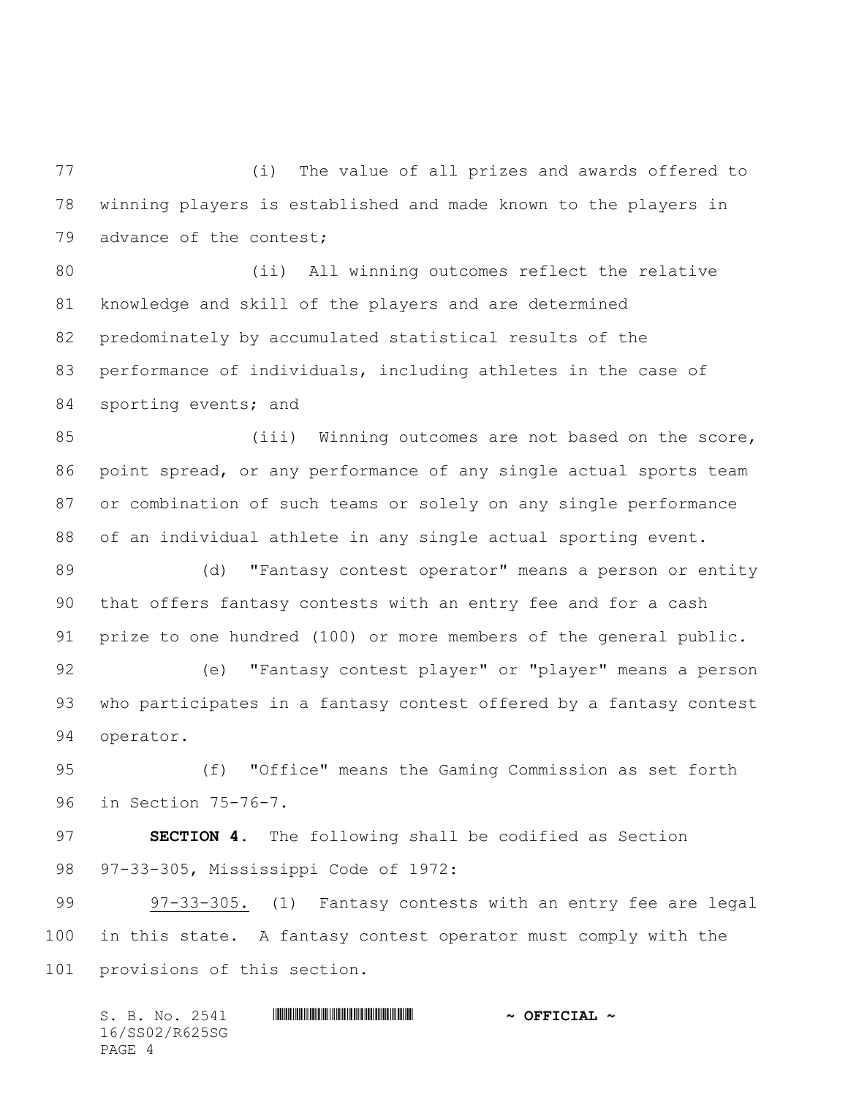(i) The value of all prizes and awards offered to winning players is established and made known to the players in 79 advance of the contest;

 (ii) All winning outcomes reflect the relative knowledge and skill of the players and are determined predominately by accumulated statistical results of the performance of individuals, including athletes in the case of 84 sporting events; and

85 (iii) Winning outcomes are not based on the score, point spread, or any performance of any single actual sports team or combination of such teams or solely on any single performance of an individual athlete in any single actual sporting event.

 (d) "Fantasy contest operator" means a person or entity that offers fantasy contests with an entry fee and for a cash prize to one hundred (100) or more members of the general public.

 (e) "Fantasy contest player" or "player" means a person who participates in a fantasy contest offered by a fantasy contest operator.

 (f) "Office" means the Gaming Commission as set forth in Section 75-76-7.

 **SECTION 4.** The following shall be codified as Section 97-33-305, Mississippi Code of 1972:

 97-33-305. (1) Fantasy contests with an entry fee are legal in this state. A fantasy contest operator must comply with the provisions of this section.

 $S. B. No. 2541$  **. Social 2541 · SECOLAL 4** 16/SS02/R625SG PAGE 4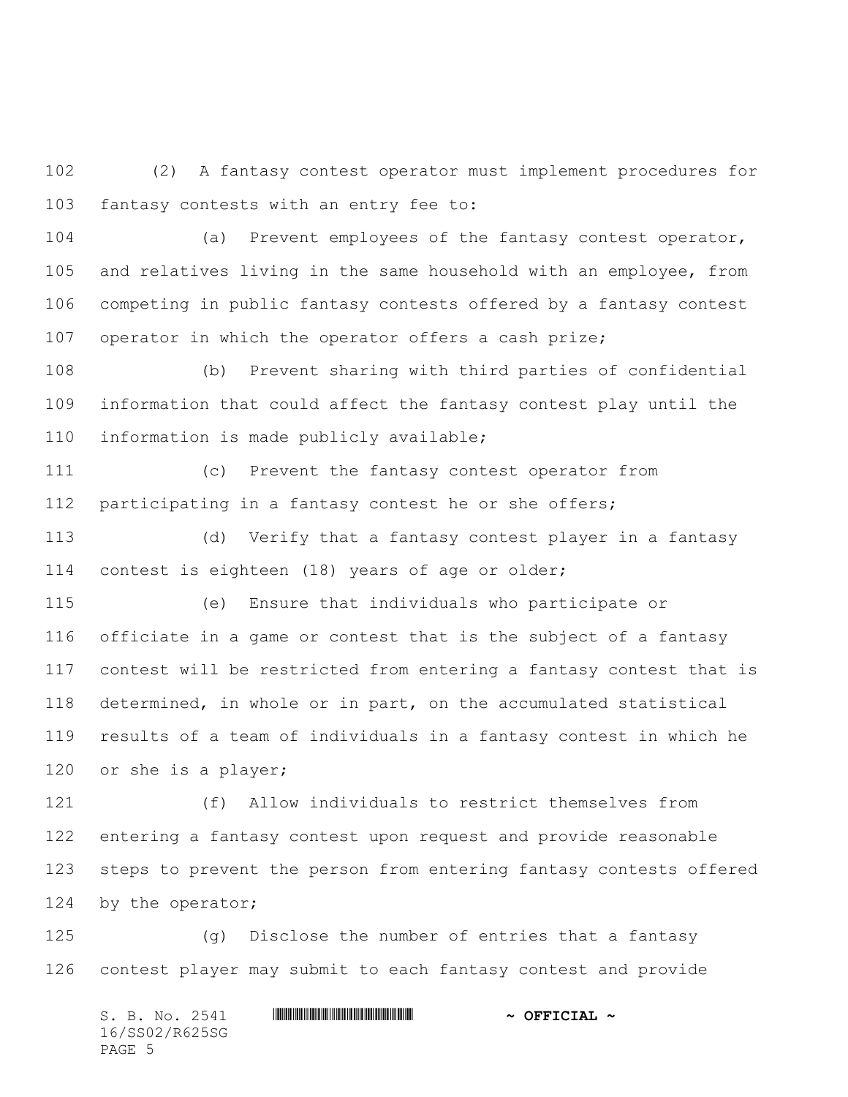(2) A fantasy contest operator must implement procedures for fantasy contests with an entry fee to:

 (a) Prevent employees of the fantasy contest operator, and relatives living in the same household with an employee, from competing in public fantasy contests offered by a fantasy contest 107 operator in which the operator offers a cash prize;

 (b) Prevent sharing with third parties of confidential information that could affect the fantasy contest play until the information is made publicly available;

 (c) Prevent the fantasy contest operator from participating in a fantasy contest he or she offers;

 (d) Verify that a fantasy contest player in a fantasy contest is eighteen (18) years of age or older;

 (e) Ensure that individuals who participate or officiate in a game or contest that is the subject of a fantasy contest will be restricted from entering a fantasy contest that is determined, in whole or in part, on the accumulated statistical results of a team of individuals in a fantasy contest in which he or she is a player;

 (f) Allow individuals to restrict themselves from entering a fantasy contest upon request and provide reasonable steps to prevent the person from entering fantasy contests offered 124 by the operator;

 (g) Disclose the number of entries that a fantasy contest player may submit to each fantasy contest and provide

S. B. No. 2541 \*SS02/R625SG\* **~ OFFICIAL ~** 16/SS02/R625SG PAGE 5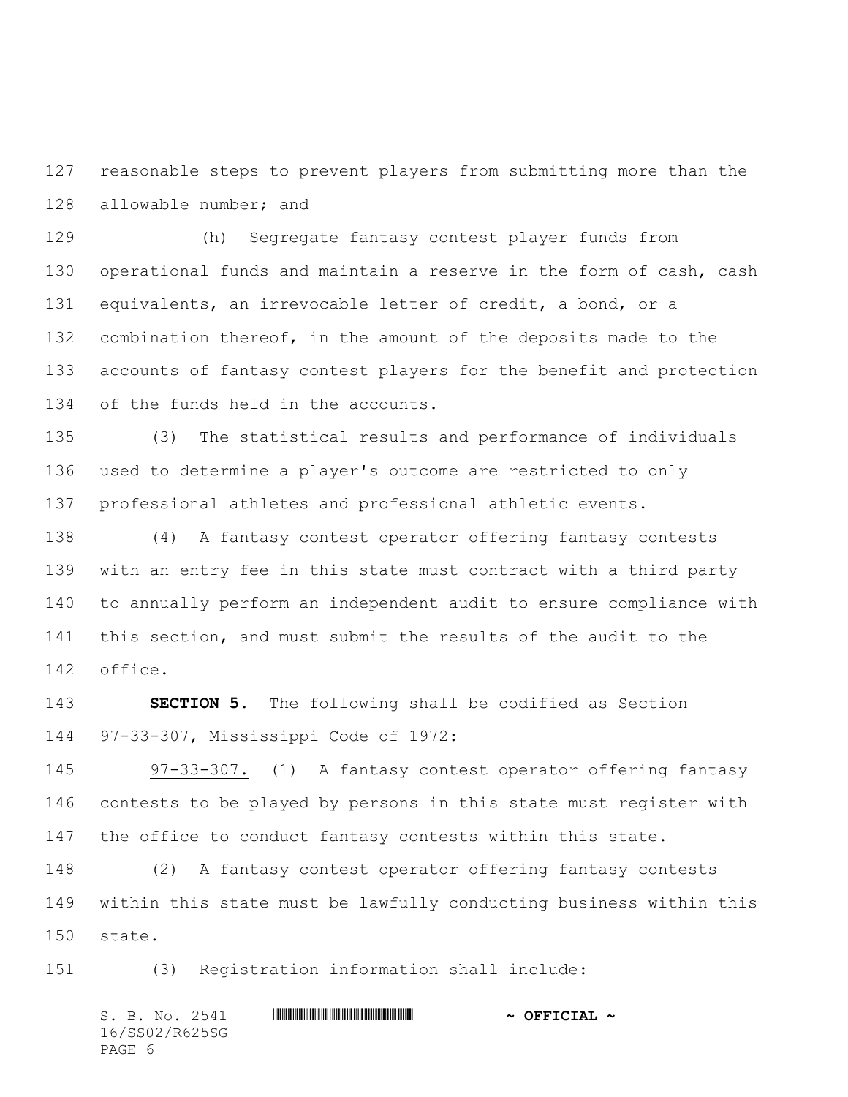reasonable steps to prevent players from submitting more than the allowable number; and

 (h) Segregate fantasy contest player funds from operational funds and maintain a reserve in the form of cash, cash equivalents, an irrevocable letter of credit, a bond, or a combination thereof, in the amount of the deposits made to the accounts of fantasy contest players for the benefit and protection of the funds held in the accounts.

 (3) The statistical results and performance of individuals used to determine a player's outcome are restricted to only professional athletes and professional athletic events.

 (4) A fantasy contest operator offering fantasy contests with an entry fee in this state must contract with a third party to annually perform an independent audit to ensure compliance with this section, and must submit the results of the audit to the office.

 **SECTION 5.** The following shall be codified as Section 97-33-307, Mississippi Code of 1972:

 97-33-307. (1) A fantasy contest operator offering fantasy contests to be played by persons in this state must register with 147 the office to conduct fantasy contests within this state.

 (2) A fantasy contest operator offering fantasy contests within this state must be lawfully conducting business within this state.

(3) Registration information shall include:

 $S. B. No. 2541$  **. Social 2541 · SECOLAL 4** 16/SS02/R625SG PAGE 6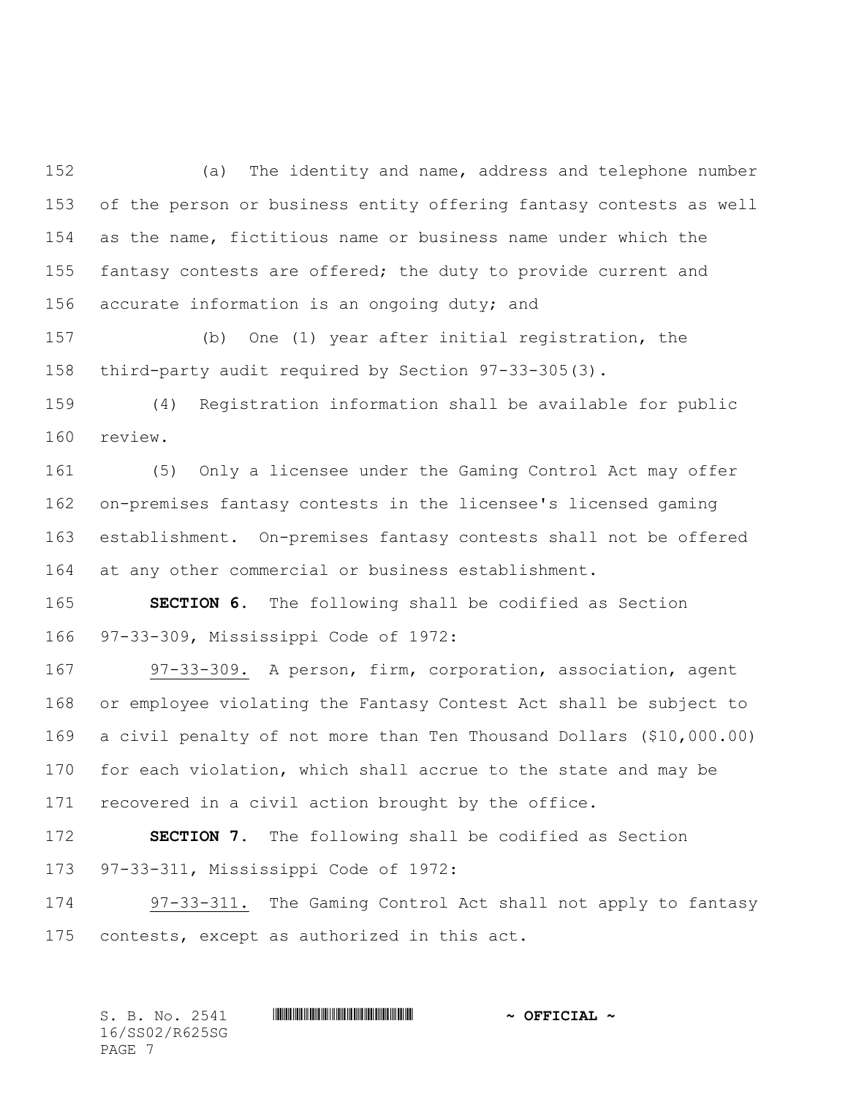(a) The identity and name, address and telephone number of the person or business entity offering fantasy contests as well as the name, fictitious name or business name under which the fantasy contests are offered; the duty to provide current and 156 accurate information is an ongoing duty; and

 (b) One (1) year after initial registration, the third-party audit required by Section 97-33-305(3).

 (4) Registration information shall be available for public review.

 (5) Only a licensee under the Gaming Control Act may offer on-premises fantasy contests in the licensee's licensed gaming establishment. On-premises fantasy contests shall not be offered at any other commercial or business establishment.

 **SECTION 6.** The following shall be codified as Section 97-33-309, Mississippi Code of 1972:

 97-33-309. A person, firm, corporation, association, agent or employee violating the Fantasy Contest Act shall be subject to a civil penalty of not more than Ten Thousand Dollars (\$10,000.00) for each violation, which shall accrue to the state and may be recovered in a civil action brought by the office.

 **SECTION 7.** The following shall be codified as Section 97-33-311, Mississippi Code of 1972:

 97-33-311. The Gaming Control Act shall not apply to fantasy contests, except as authorized in this act.

 $S.$  B. No. 2541 **\*Social #SSECTAL #SSECTAL #SSECTAL #SSECTAL #** 16/SS02/R625SG PAGE 7